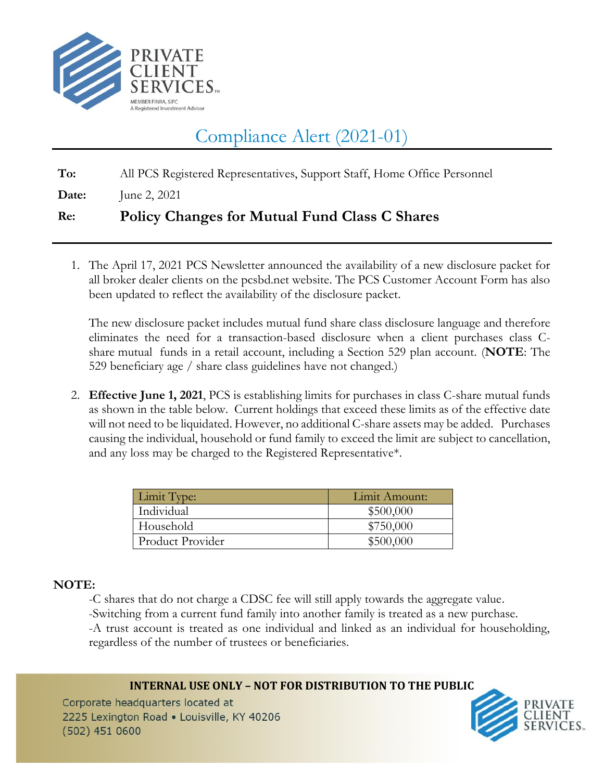

## Compliance Alert (2021-01)

**To:** All PCS Registered Representatives, Support Staff, Home Office Personnel

**Date:** June 2, 2021

## **Re: Policy Changes for Mutual Fund Class C Shares**

1. The April 17, 2021 PCS Newsletter announced the availability of a new disclosure packet for all broker dealer clients on the pcsbd.net website. The PCS Customer Account Form has also been updated to reflect the availability of the disclosure packet.

The new disclosure packet includes mutual fund share class disclosure language and therefore eliminates the need for a transaction-based disclosure when a client purchases class Cshare mutual funds in a retail account, including a Section 529 plan account. (**NOTE**: The 529 beneficiary age / share class guidelines have not changed.)

2. **Effective June 1, 2021**, PCS is establishing limits for purchases in class C-share mutual funds as shown in the table below. Current holdings that exceed these limits as of the effective date will not need to be liquidated. However, no additional C-share assets may be added. Purchases causing the individual, household or fund family to exceed the limit are subject to cancellation, and any loss may be charged to the Registered Representative\*.

| Limit Type:      | Limit Amount: |
|------------------|---------------|
| Individual       | \$500,000     |
| Household        | \$750,000     |
| Product Provider | \$500,000     |

## **NOTE:**

-C shares that do not charge a CDSC fee will still apply towards the aggregate value. -Switching from a current fund family into another family is treated as a new purchase. -A trust account is treated as one individual and linked as an individual for householding, regardless of the number of trustees or beneficiaries.

**INTERNAL USE ONLY – NOT FOR DISTRIBUTION TO THE PUBLIC** Corporate headquarters located at 2225 Lexington Road . Louisville, KY 40206  $(502)$  451 0600